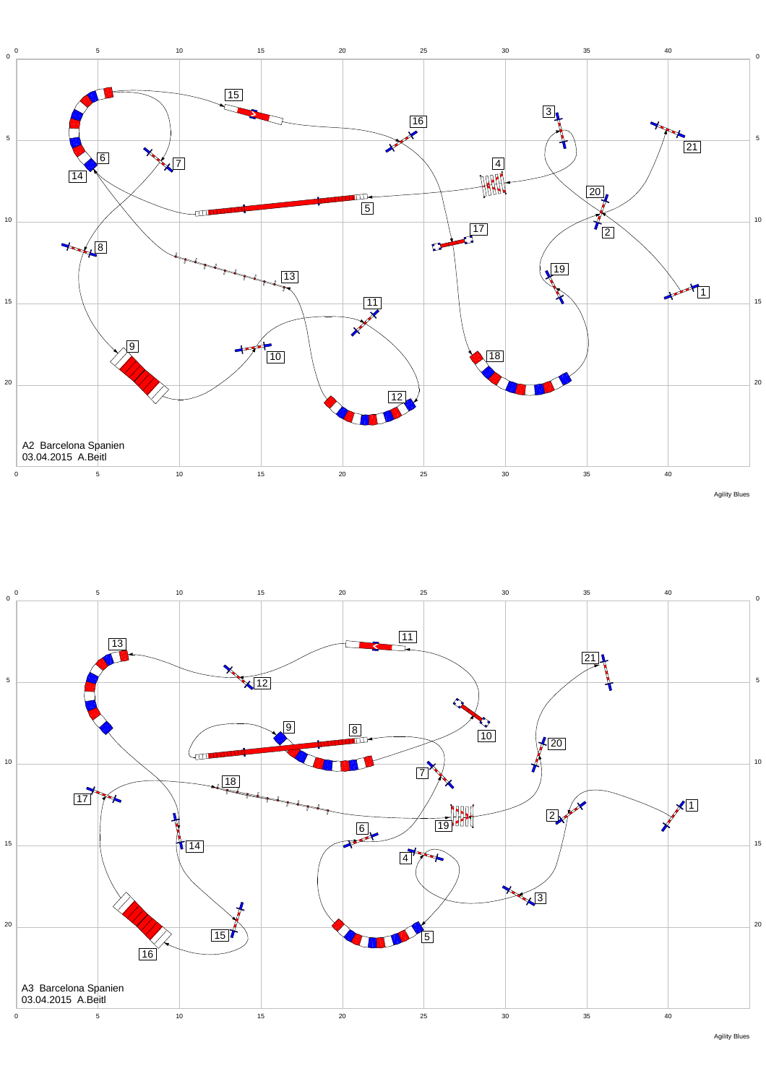



Agility Blues